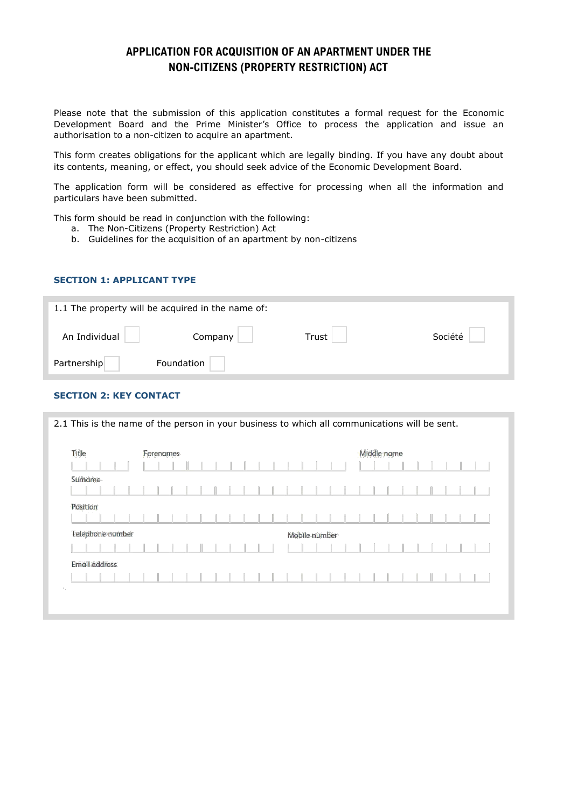# **APPLICATION FOR ACQUISITION OF AN APARTMENT UNDER THE NON-CITIZENS (PROPERTY RESTRICTION) ACT**

Please note that the submission of this application constitutes a formal request for the Economic Development Board and the Prime Minister's Office to process the application and issue an authorisation to a non-citizen to acquire an apartment.

This form creates obligations for the applicant which are legally binding. If you have any doubt about its contents, meaning, or effect, you should seek advice of the Economic Development Board.

The application form will be considered as effective for processing when all the information and particulars have been submitted.

This form should be read in conjunction with the following:

- a. The Non-Citizens (Property Restriction) Act
- b. Guidelines for the acquisition of an apartment by non-citizens

#### **SECTION 1: APPLICANT TYPE**

| 1.1 The property will be acquired in the name of: |            |       |         |  |  |  |  |  |  |
|---------------------------------------------------|------------|-------|---------|--|--|--|--|--|--|
| An Individual                                     | Company    | Trust | Société |  |  |  |  |  |  |
| Partnership                                       | Foundation |       |         |  |  |  |  |  |  |
|                                                   |            |       |         |  |  |  |  |  |  |

#### **SECTION 2: KEY CONTACT**

| Title                | Forenames |  |  |  |  |  |               |  |  | Middle name |  |  |  |
|----------------------|-----------|--|--|--|--|--|---------------|--|--|-------------|--|--|--|
|                      |           |  |  |  |  |  |               |  |  |             |  |  |  |
| Surname              |           |  |  |  |  |  |               |  |  |             |  |  |  |
|                      |           |  |  |  |  |  |               |  |  |             |  |  |  |
| Position             |           |  |  |  |  |  |               |  |  |             |  |  |  |
|                      |           |  |  |  |  |  |               |  |  |             |  |  |  |
| Telephone number     |           |  |  |  |  |  | Mobile number |  |  |             |  |  |  |
|                      |           |  |  |  |  |  |               |  |  |             |  |  |  |
| <b>Email address</b> |           |  |  |  |  |  |               |  |  |             |  |  |  |
|                      |           |  |  |  |  |  |               |  |  |             |  |  |  |
|                      |           |  |  |  |  |  |               |  |  |             |  |  |  |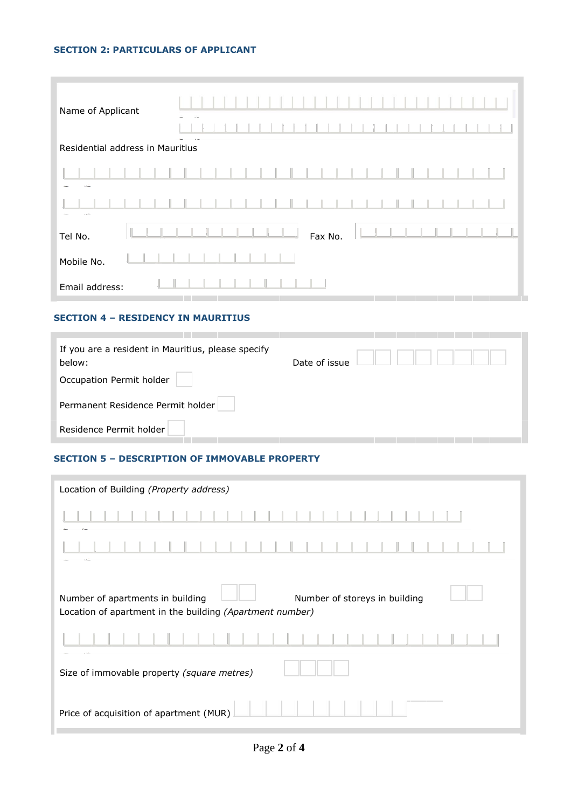### **SECTION 2: PARTICULARS OF APPLICANT**

| Name of Applicant                | $\overline{1}$ |  |  |         |  |  |  |
|----------------------------------|----------------|--|--|---------|--|--|--|
| Residential address in Mauritius |                |  |  |         |  |  |  |
| a ser                            |                |  |  |         |  |  |  |
|                                  |                |  |  |         |  |  |  |
| Tel No.                          |                |  |  | Fax No. |  |  |  |
| Mobile No.                       |                |  |  |         |  |  |  |
| Email address:                   |                |  |  |         |  |  |  |

#### **SECTION 4 – RESIDENCY IN MAURITIUS**

| If you are a resident in Mauritius, please specify<br>below: | Date of issue |  |  |
|--------------------------------------------------------------|---------------|--|--|
| Occupation Permit holder                                     |               |  |  |
| Permanent Residence Permit holder                            |               |  |  |
| Residence Permit holder                                      |               |  |  |

### **SECTION 5 – DESCRIPTION OF IMMOVABLE PROPERTY**

| Location of Building (Property address)                                                                                       |  |  |  |  |  |  |  |  |
|-------------------------------------------------------------------------------------------------------------------------------|--|--|--|--|--|--|--|--|
|                                                                                                                               |  |  |  |  |  |  |  |  |
|                                                                                                                               |  |  |  |  |  |  |  |  |
| Number of apartments in building<br>Number of storeys in building<br>Location of apartment in the building (Apartment number) |  |  |  |  |  |  |  |  |
|                                                                                                                               |  |  |  |  |  |  |  |  |
|                                                                                                                               |  |  |  |  |  |  |  |  |
| Size of immovable property (square metres)                                                                                    |  |  |  |  |  |  |  |  |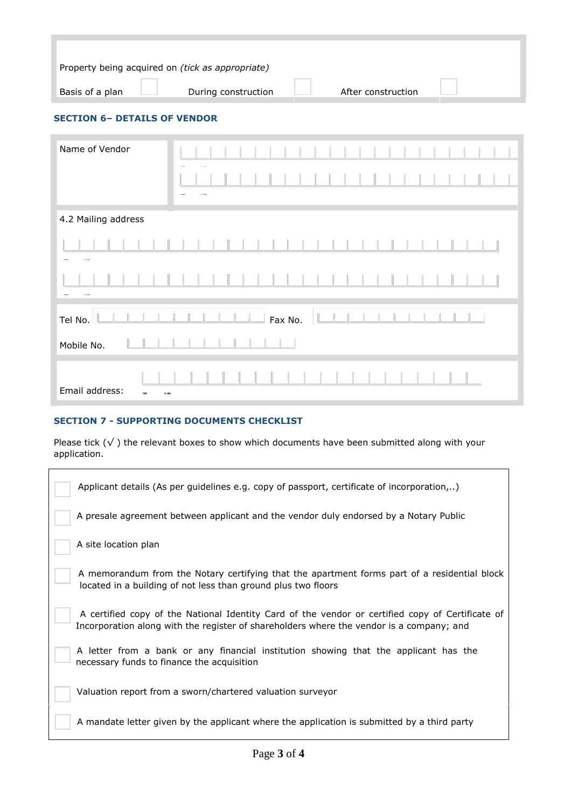| Property being acquired on (tick as appropriate) |                     |         |                    |  |  |  |  |  |  |  |
|--------------------------------------------------|---------------------|---------|--------------------|--|--|--|--|--|--|--|
| Basis of a plan                                  | During construction |         | After construction |  |  |  |  |  |  |  |
| <b>SECTION 6- DETAILS OF VENDOR</b>              |                     |         |                    |  |  |  |  |  |  |  |
| Name of Vendor                                   |                     |         |                    |  |  |  |  |  |  |  |
|                                                  |                     |         |                    |  |  |  |  |  |  |  |
| 4.2 Mailing address                              |                     |         |                    |  |  |  |  |  |  |  |
|                                                  |                     |         |                    |  |  |  |  |  |  |  |
| . .                                              |                     |         |                    |  |  |  |  |  |  |  |
| Tel No.                                          |                     | Fax No. |                    |  |  |  |  |  |  |  |
| Mobile No.                                       |                     |         |                    |  |  |  |  |  |  |  |
| Email address:                                   |                     |         |                    |  |  |  |  |  |  |  |

### **SECTION 7 - SUPPORTING DOCUMENTS CHECKLIST**

Please tick (√) the relevant boxes to show which documents have been submitted along with your application.

| Applicant details (As per quidelines e.g. copy of passport, certificate of incorporation,)                                                                                                   |
|----------------------------------------------------------------------------------------------------------------------------------------------------------------------------------------------|
| A presale agreement between applicant and the vendor duly endorsed by a Notary Public                                                                                                        |
| A site location plan                                                                                                                                                                         |
| A memorandum from the Notary certifying that the apartment forms part of a residential block<br>located in a building of not less than ground plus two floors                                |
| A certified copy of the National Identity Card of the vendor or certified copy of Certificate of<br>Incorporation along with the register of shareholders where the vendor is a company; and |
| A letter from a bank or any financial institution showing that the applicant has the<br>necessary funds to finance the acquisition                                                           |
| Valuation report from a sworn/chartered valuation surveyor                                                                                                                                   |
| A mandate letter given by the applicant where the application is submitted by a third party                                                                                                  |